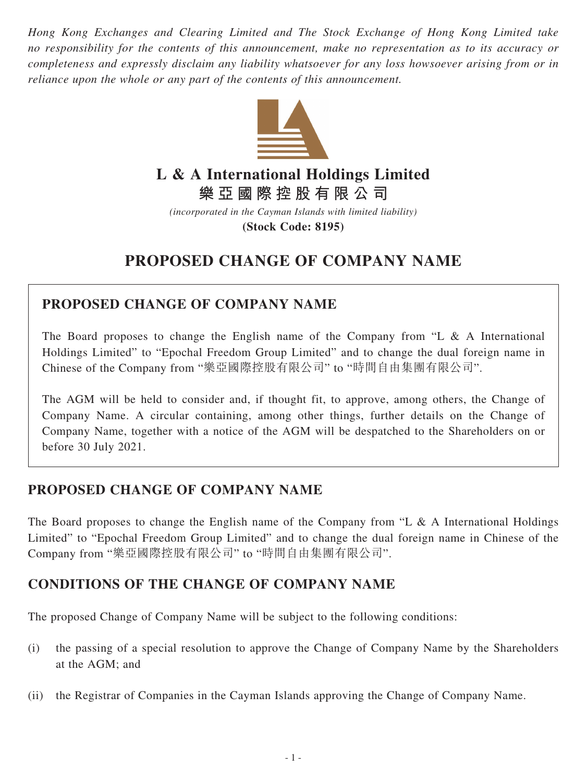*Hong Kong Exchanges and Clearing Limited and The Stock Exchange of Hong Kong Limited take no responsibility for the contents of this announcement, make no representation as to its accuracy or completeness and expressly disclaim any liability whatsoever for any loss howsoever arising from or in reliance upon the whole or any part of the contents of this announcement.*



# **L & A International Holdings Limited**

**樂亞國際控股有限公司**

*(incorporated in the Cayman Islands with limited liability)*

**(Stock Code: 8195)**

# **PROPOSED CHANGE OF COMPANY NAME**

### **PROPOSED CHANGE OF COMPANY NAME**

The Board proposes to change the English name of the Company from "L & A International Holdings Limited" to "Epochal Freedom Group Limited" and to change the dual foreign name in Chinese of the Company from "樂亞國際控股有限公司" to "時間自由集團有限公司".

The AGM will be held to consider and, if thought fit, to approve, among others, the Change of Company Name. A circular containing, among other things, further details on the Change of Company Name, together with a notice of the AGM will be despatched to the Shareholders on or before 30 July 2021.

## **PROPOSED CHANGE OF COMPANY NAME**

The Board proposes to change the English name of the Company from "L & A International Holdings Limited" to "Epochal Freedom Group Limited" and to change the dual foreign name in Chinese of the Company from "樂亞國際控股有限公司" to "時間自由集團有限公司".

#### **CONDITIONS OF THE CHANGE OF COMPANY NAME**

The proposed Change of Company Name will be subject to the following conditions:

- (i) the passing of a special resolution to approve the Change of Company Name by the Shareholders at the AGM; and
- (ii) the Registrar of Companies in the Cayman Islands approving the Change of Company Name.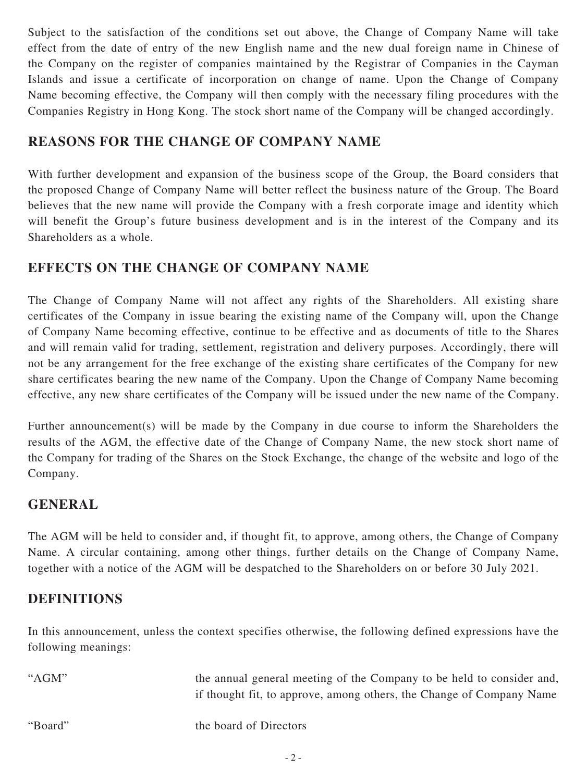Subject to the satisfaction of the conditions set out above, the Change of Company Name will take effect from the date of entry of the new English name and the new dual foreign name in Chinese of the Company on the register of companies maintained by the Registrar of Companies in the Cayman Islands and issue a certificate of incorporation on change of name. Upon the Change of Company Name becoming effective, the Company will then comply with the necessary filing procedures with the Companies Registry in Hong Kong. The stock short name of the Company will be changed accordingly.

### **REASONS FOR THE CHANGE OF COMPANY NAME**

With further development and expansion of the business scope of the Group, the Board considers that the proposed Change of Company Name will better reflect the business nature of the Group. The Board believes that the new name will provide the Company with a fresh corporate image and identity which will benefit the Group's future business development and is in the interest of the Company and its Shareholders as a whole.

#### **EFFECTS ON THE CHANGE OF COMPANY NAME**

The Change of Company Name will not affect any rights of the Shareholders. All existing share certificates of the Company in issue bearing the existing name of the Company will, upon the Change of Company Name becoming effective, continue to be effective and as documents of title to the Shares and will remain valid for trading, settlement, registration and delivery purposes. Accordingly, there will not be any arrangement for the free exchange of the existing share certificates of the Company for new share certificates bearing the new name of the Company. Upon the Change of Company Name becoming effective, any new share certificates of the Company will be issued under the new name of the Company.

Further announcement(s) will be made by the Company in due course to inform the Shareholders the results of the AGM, the effective date of the Change of Company Name, the new stock short name of the Company for trading of the Shares on the Stock Exchange, the change of the website and logo of the Company.

#### **GENERAL**

The AGM will be held to consider and, if thought fit, to approve, among others, the Change of Company Name. A circular containing, among other things, further details on the Change of Company Name, together with a notice of the AGM will be despatched to the Shareholders on or before 30 July 2021.

#### **DEFINITIONS**

In this announcement, unless the context specifies otherwise, the following defined expressions have the following meanings:

| " $AGM"$ | the annual general meeting of the Company to be held to consider and,<br>if thought fit, to approve, among others, the Change of Company Name |
|----------|-----------------------------------------------------------------------------------------------------------------------------------------------|
| "Board"  | the board of Directors                                                                                                                        |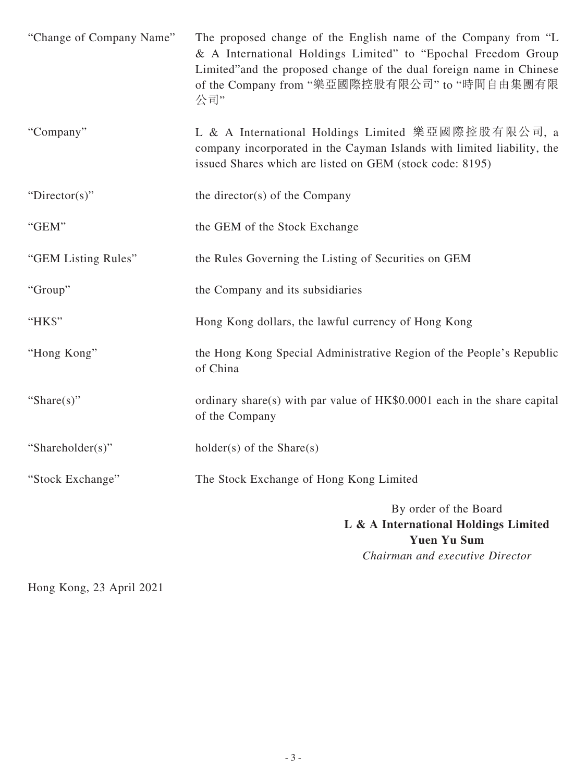| "Change of Company Name" | The proposed change of the English name of the Company from "L<br>& A International Holdings Limited" to "Epochal Freedom Group<br>Limited" and the proposed change of the dual foreign name in Chinese<br>of the Company from "樂亞國際控股有限公司" to "時間自由集團有限<br>公司" |
|--------------------------|-----------------------------------------------------------------------------------------------------------------------------------------------------------------------------------------------------------------------------------------------------------------|
| "Company"                | L & A International Holdings Limited 樂亞國際控股有限公司, a<br>company incorporated in the Cayman Islands with limited liability, the<br>issued Shares which are listed on GEM (stock code: 8195)                                                                        |
| "Director(s)"            | the director(s) of the Company                                                                                                                                                                                                                                  |
| "GEM"                    | the GEM of the Stock Exchange                                                                                                                                                                                                                                   |
| "GEM Listing Rules"      | the Rules Governing the Listing of Securities on GEM                                                                                                                                                                                                            |
| "Group"                  | the Company and its subsidiaries                                                                                                                                                                                                                                |
| "HK\$"                   | Hong Kong dollars, the lawful currency of Hong Kong                                                                                                                                                                                                             |
| "Hong Kong"              | the Hong Kong Special Administrative Region of the People's Republic<br>of China                                                                                                                                                                                |
| "Share $(s)$ "           | ordinary share(s) with par value of HK\$0.0001 each in the share capital<br>of the Company                                                                                                                                                                      |
| "Shareholder(s)"         | $holder(s)$ of the Share(s)                                                                                                                                                                                                                                     |
| "Stock Exchange"         | The Stock Exchange of Hong Kong Limited                                                                                                                                                                                                                         |
|                          | By order of the Board<br>L & A International Holdings Limited<br><b>Yuen Yu Sum</b><br>Chairman and executive Director                                                                                                                                          |

Hong Kong, 23 April 2021